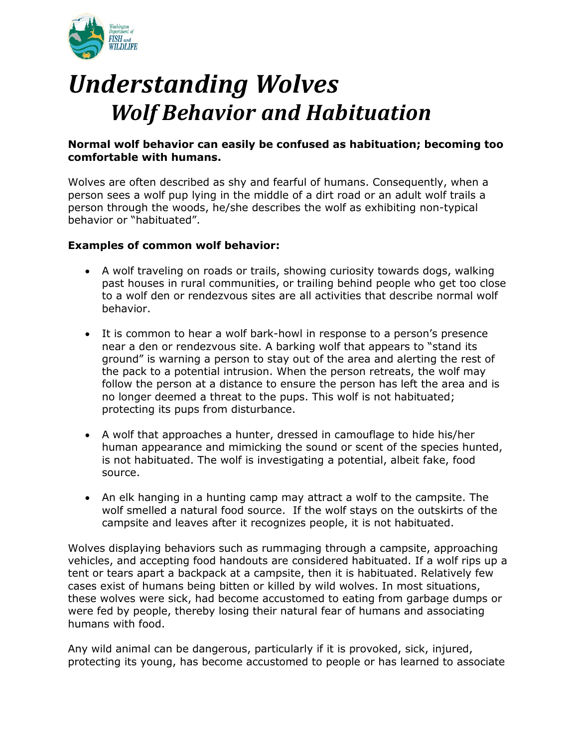

# *Understanding Wolves Wolf Behavior and Habituation*

## **Normal wolf behavior can easily be confused as habituation; becoming too comfortable with humans.**

Wolves are often described as shy and fearful of humans. Consequently, when a person sees a wolf pup lying in the middle of a dirt road or an adult wolf trails a person through the woods, he/she describes the wolf as exhibiting non-typical behavior or "habituated".

# **Examples of common wolf behavior:**

- A wolf traveling on roads or trails, showing curiosity towards dogs, walking past houses in rural communities, or trailing behind people who get too close to a wolf den or rendezvous sites are all activities that describe normal wolf behavior.
- It is common to hear a wolf bark-howl in response to a person's presence near a den or rendezvous site. A barking wolf that appears to "stand its ground" is warning a person to stay out of the area and alerting the rest of the pack to a potential intrusion. When the person retreats, the wolf may follow the person at a distance to ensure the person has left the area and is no longer deemed a threat to the pups. This wolf is not habituated; protecting its pups from disturbance.
- A wolf that approaches a hunter, dressed in camouflage to hide his/her human appearance and mimicking the sound or scent of the species hunted, is not habituated. The wolf is investigating a potential, albeit fake, food source.
- An elk hanging in a hunting camp may attract a wolf to the campsite. The wolf smelled a natural food source. If the wolf stays on the outskirts of the campsite and leaves after it recognizes people, it is not habituated.

Wolves displaying behaviors such as rummaging through a campsite, approaching vehicles, and accepting food handouts are considered habituated. If a wolf rips up a tent or tears apart a backpack at a campsite, then it is habituated. Relatively few cases exist of humans being bitten or killed by wild wolves. In most situations, these wolves were sick, had become accustomed to eating from garbage dumps or were fed by people, thereby losing their natural fear of humans and associating humans with food.

Any wild animal can be dangerous, particularly if it is provoked, sick, injured, protecting its young, has become accustomed to people or has learned to associate